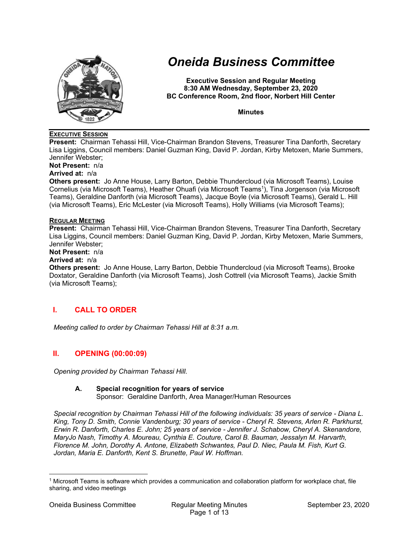

# *Oneida Business Committee*

**Executive Session and Regular Meeting 8:30 AM Wednesday, September 23, 2020 BC Conference Room, 2nd floor, Norbert Hill Center** 

**Minutes** 

### **EXECUTIVE SESSION**

**Present:** Chairman Tehassi Hill, Vice-Chairman Brandon Stevens, Treasurer Tina Danforth, Secretary Lisa Liggins, Council members: Daniel Guzman King, David P. Jordan, Kirby Metoxen, Marie Summers, Jennifer Webster;

**Not Present:** n/a

## **Arrived at:** n/a

**Others present:** Jo Anne House, Larry Barton, Debbie Thundercloud (via Microsoft Teams), Louise Cornelius (via Microsoft Teams), Heather Ohuafi (via Microsoft Teams<sup>1</sup>), Tina Jorgenson (via Microsoft Teams), Geraldine Danforth (via Microsoft Teams), Jacque Boyle (via Microsoft Teams), Gerald L. Hill (via Microsoft Teams), Eric McLester (via Microsoft Teams), Holly Williams (via Microsoft Teams);

#### **REGULAR MEETING**

**Present:** Chairman Tehassi Hill, Vice-Chairman Brandon Stevens, Treasurer Tina Danforth, Secretary Lisa Liggins, Council members: Daniel Guzman King, David P. Jordan, Kirby Metoxen, Marie Summers, Jennifer Webster;

**Not Present:** n/a

#### **Arrived at:** n/a

**Others present:** Jo Anne House, Larry Barton, Debbie Thundercloud (via Microsoft Teams), Brooke Doxtator, Geraldine Danforth (via Microsoft Teams), Josh Cottrell (via Microsoft Teams), Jackie Smith (via Microsoft Teams);

# **I. CALL TO ORDER**

*Meeting called to order by Chairman Tehassi Hill at 8:31 a.m.* 

### **II. OPENING (00:00:09)**

*Opening provided by Chairman Tehassi Hill.* 

### **A. Special recognition for years of service**

Sponsor: Geraldine Danforth, Area Manager/Human Resources

*Special recognition by Chairman Tehassi Hill of the following individuals: 35 years of service - Diana L. King, Tony D. Smith, Connie Vandenburg; 30 years of service - Cheryl R. Stevens, Arlen R. Parkhurst, Erwin R. Danforth, Charles E. John; 25 years of service - Jennifer J. Schabow, Cheryl A. Skenandore, MaryJo Nash, Timothy A. Moureau, Cynthia E. Couture, Carol B. Bauman, Jessalyn M. Harvarth, Florence M. John, Dorothy A. Antone, Elizabeth Schwantes, Paul D. Niec, Paula M. Fish, Kurt G. Jordan, Maria E. Danforth, Kent S. Brunette, Paul W. Hoffman.* 

<sup>1</sup> Microsoft Teams is software which provides a communication and collaboration platform for workplace chat, file sharing, and video meetings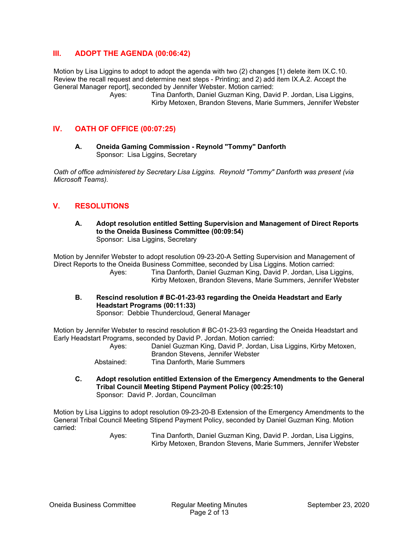## **III. ADOPT THE AGENDA (00:06:42)**

Motion by Lisa Liggins to adopt to adopt the agenda with two (2) changes [1) delete item IX.C.10. Review the recall request and determine next steps - Printing; and 2) add item IX.A.2. Accept the General Manager report], seconded by Jennifer Webster. Motion carried:

> Ayes: Tina Danforth, Daniel Guzman King, David P. Jordan, Lisa Liggins, Kirby Metoxen, Brandon Stevens, Marie Summers, Jennifer Webster

## **IV. OATH OF OFFICE (00:07:25)**

**A. Oneida Gaming Commission - Reynold "Tommy" Danforth**  Sponsor: Lisa Liggins, Secretary

*Oath of office administered by Secretary Lisa Liggins. Reynold "Tommy" Danforth was present (via Microsoft Teams).* 

## **V. RESOLUTIONS**

**A. Adopt resolution entitled Setting Supervision and Management of Direct Reports to the Oneida Business Committee (00:09:54)**  Sponsor: Lisa Liggins, Secretary

Motion by Jennifer Webster to adopt resolution 09-23-20-A Setting Supervision and Management of Direct Reports to the Oneida Business Committee, seconded by Lisa Liggins. Motion carried: Ayes: Tina Danforth, Daniel Guzman King, David P. Jordan, Lisa Liggins, Kirby Metoxen, Brandon Stevens, Marie Summers, Jennifer Webster

**B. Rescind resolution # BC-01-23-93 regarding the Oneida Headstart and Early Headstart Programs (00:11:33)**  Sponsor: Debbie Thundercloud, General Manager

Motion by Jennifer Webster to rescind resolution # BC-01-23-93 regarding the Oneida Headstart and Early Headstart Programs, seconded by David P. Jordan. Motion carried:

 Ayes: Daniel Guzman King, David P. Jordan, Lisa Liggins, Kirby Metoxen, Brandon Stevens, Jennifer Webster Abstained: Tina Danforth, Marie Summers

**C. Adopt resolution entitled Extension of the Emergency Amendments to the General Tribal Council Meeting Stipend Payment Policy (00:25:10)**  Sponsor: David P. Jordan, Councilman

Motion by Lisa Liggins to adopt resolution 09-23-20-B Extension of the Emergency Amendments to the General Tribal Council Meeting Stipend Payment Policy, seconded by Daniel Guzman King. Motion carried: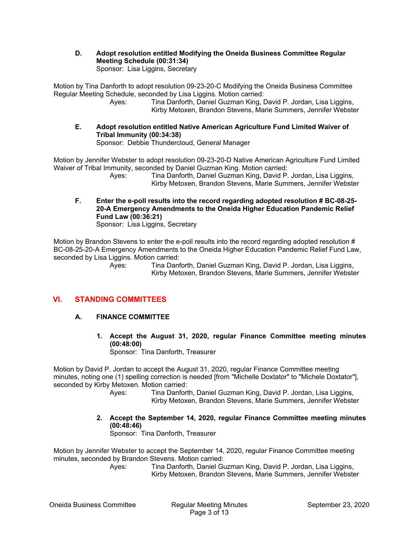**D. Adopt resolution entitled Modifying the Oneida Business Committee Regular Meeting Schedule (00:31:34)**  Sponsor: Lisa Liggins, Secretary

Motion by Tina Danforth to adopt resolution 09-23-20-C Modifying the Oneida Business Committee Regular Meeting Schedule, seconded by Lisa Liggins. Motion carried:

 Ayes: Tina Danforth, Daniel Guzman King, David P. Jordan, Lisa Liggins, Kirby Metoxen, Brandon Stevens, Marie Summers, Jennifer Webster

**E. Adopt resolution entitled Native American Agriculture Fund Limited Waiver of Tribal Immunity (00:34:38)**  Sponsor: Debbie Thundercloud, General Manager

Motion by Jennifer Webster to adopt resolution 09-23-20-D Native American Agriculture Fund Limited Waiver of Tribal Immunity, seconded by Daniel Guzman King. Motion carried:

 Ayes: Tina Danforth, Daniel Guzman King, David P. Jordan, Lisa Liggins, Kirby Metoxen, Brandon Stevens, Marie Summers, Jennifer Webster

**F. Enter the e-poll results into the record regarding adopted resolution # BC-08-25- 20-A Emergency Amendments to the Oneida Higher Education Pandemic Relief Fund Law (00:36:21)** 

Sponsor: Lisa Liggins, Secretary

Motion by Brandon Stevens to enter the e-poll results into the record regarding adopted resolution # BC-08-25-20-A Emergency Amendments to the Oneida Higher Education Pandemic Relief Fund Law, seconded by Lisa Liggins. Motion carried:

 Ayes: Tina Danforth, Daniel Guzman King, David P. Jordan, Lisa Liggins, Kirby Metoxen, Brandon Stevens, Marie Summers, Jennifer Webster

# **VI. STANDING COMMITTEES**

- **A. FINANCE COMMITTEE** 
	- **1. Accept the August 31, 2020, regular Finance Committee meeting minutes (00:48:00)**

Sponsor: Tina Danforth, Treasurer

Motion by David P. Jordan to accept the August 31, 2020, regular Finance Committee meeting minutes, noting one (1) spelling correction is needed [from "Michelle Doxtator" to "Michele Doxtator"], seconded by Kirby Metoxen. Motion carried:

- Ayes: Tina Danforth, Daniel Guzman King, David P. Jordan, Lisa Liggins, Kirby Metoxen, Brandon Stevens, Marie Summers, Jennifer Webster
- **2. Accept the September 14, 2020, regular Finance Committee meeting minutes (00:48:46)**

Sponsor: Tina Danforth, Treasurer

Motion by Jennifer Webster to accept the September 14, 2020, regular Finance Committee meeting minutes, seconded by Brandon Stevens. Motion carried: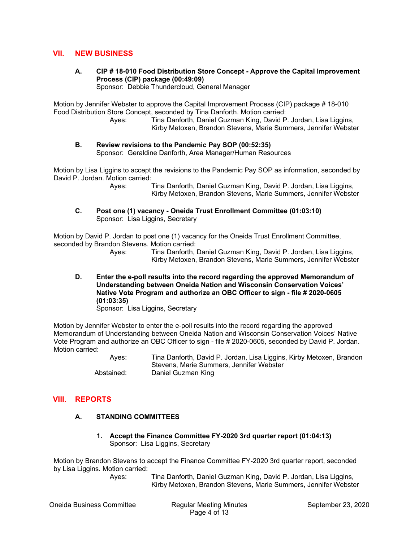## **VII. NEW BUSINESS**

**A. CIP # 18-010 Food Distribution Store Concept - Approve the Capital Improvement Process (CIP) package (00:49:09)** 

Sponsor: Debbie Thundercloud, General Manager

Motion by Jennifer Webster to approve the Capital Improvement Process (CIP) package # 18-010 Food Distribution Store Concept, seconded by Tina Danforth. Motion carried:

 Ayes: Tina Danforth, Daniel Guzman King, David P. Jordan, Lisa Liggins, Kirby Metoxen, Brandon Stevens, Marie Summers, Jennifer Webster

#### **B. Review revisions to the Pandemic Pay SOP (00:52:35)**  Sponsor: Geraldine Danforth, Area Manager/Human Resources

Motion by Lisa Liggins to accept the revisions to the Pandemic Pay SOP as information, seconded by David P. Jordan. Motion carried:

> Ayes: Tina Danforth, Daniel Guzman King, David P. Jordan, Lisa Liggins, Kirby Metoxen, Brandon Stevens, Marie Summers, Jennifer Webster

**C. Post one (1) vacancy - Oneida Trust Enrollment Committee (01:03:10)**  Sponsor: Lisa Liggins, Secretary

Motion by David P. Jordan to post one (1) vacancy for the Oneida Trust Enrollment Committee, seconded by Brandon Stevens. Motion carried:

 Ayes: Tina Danforth, Daniel Guzman King, David P. Jordan, Lisa Liggins, Kirby Metoxen, Brandon Stevens, Marie Summers, Jennifer Webster

**D. Enter the e-poll results into the record regarding the approved Memorandum of Understanding between Oneida Nation and Wisconsin Conservation Voices' Native Vote Program and authorize an OBC Officer to sign - file # 2020-0605 (01:03:35)** 

Sponsor: Lisa Liggins, Secretary

Motion by Jennifer Webster to enter the e-poll results into the record regarding the approved Memorandum of Understanding between Oneida Nation and Wisconsin Conservation Voices' Native Vote Program and authorize an OBC Officer to sign - file # 2020-0605, seconded by David P. Jordan. Motion carried:

 Ayes: Tina Danforth, David P. Jordan, Lisa Liggins, Kirby Metoxen, Brandon Stevens, Marie Summers, Jennifer Webster Abstained: Daniel Guzman King

### **VIII. REPORTS**

### **A. STANDING COMMITTEES**

**1. Accept the Finance Committee FY-2020 3rd quarter report (01:04:13)**  Sponsor: Lisa Liggins, Secretary

Motion by Brandon Stevens to accept the Finance Committee FY-2020 3rd quarter report, seconded by Lisa Liggins. Motion carried:

 Ayes: Tina Danforth, Daniel Guzman King, David P. Jordan, Lisa Liggins, Kirby Metoxen, Brandon Stevens, Marie Summers, Jennifer Webster

Oneida Business Committee Regular Meeting Minutes September 23, 2020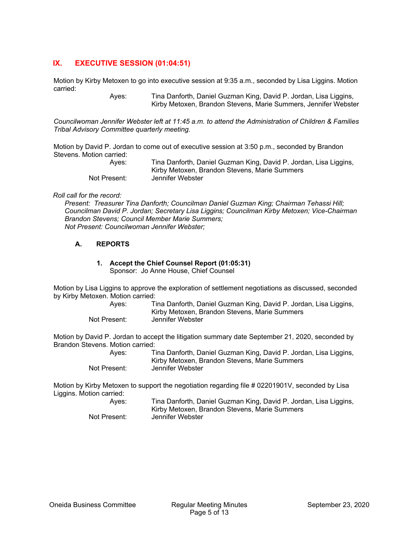# **IX. EXECUTIVE SESSION (01:04:51)**

Motion by Kirby Metoxen to go into executive session at 9:35 a.m., seconded by Lisa Liggins. Motion carried:

> Ayes: Tina Danforth, Daniel Guzman King, David P. Jordan, Lisa Liggins, Kirby Metoxen, Brandon Stevens, Marie Summers, Jennifer Webster

*Councilwoman Jennifer Webster left at 11:45 a.m. to attend the Administration of Children & Families Tribal Advisory Committee quarterly meeting.* 

Motion by David P. Jordan to come out of executive session at 3:50 p.m., seconded by Brandon Stevens. Motion carried:

| Aves:        | Tina Danforth, Daniel Guzman King, David P. Jordan, Lisa Liggins, |
|--------------|-------------------------------------------------------------------|
|              | Kirby Metoxen, Brandon Stevens, Marie Summers                     |
| Not Present: | Jennifer Webster                                                  |

#### *Roll call for the record:*

*Present: Treasurer Tina Danforth; Councilman Daniel Guzman King; Chairman Tehassi Hill; Councilman David P. Jordan; Secretary Lisa Liggins; Councilman Kirby Metoxen; Vice-Chairman Brandon Stevens; Council Member Marie Summers; Not Present: Councilwoman Jennifer Webster;* 

#### **A. REPORTS**

#### **1. Accept the Chief Counsel Report (01:05:31)**  Sponsor: Jo Anne House, Chief Counsel

Motion by Lisa Liggins to approve the exploration of settlement negotiations as discussed, seconded by Kirby Metoxen. Motion carried:

| Aves:        | Tina Danforth, Daniel Guzman King, David P. Jordan, Lisa Liggins, |
|--------------|-------------------------------------------------------------------|
|              | Kirby Metoxen, Brandon Stevens, Marie Summers                     |
| Not Present: | Jennifer Webster                                                  |

Motion by David P. Jordan to accept the litigation summary date September 21, 2020, seconded by Brandon Stevens. Motion carried:

> Ayes: Tina Danforth, Daniel Guzman King, David P. Jordan, Lisa Liggins, Kirby Metoxen, Brandon Stevens, Marie Summers Not Present: Jennifer Webster

Motion by Kirby Metoxen to support the negotiation regarding file # 02201901V, seconded by Lisa Liggins. Motion carried: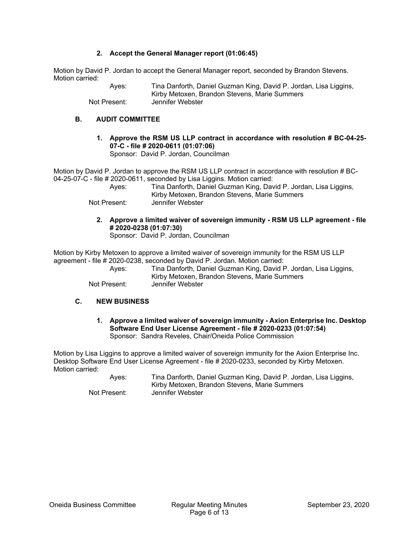#### **2. Accept the General Manager report (01:06:45)**

Motion by David P. Jordan to accept the General Manager report, seconded by Brandon Stevens. Motion carried:

> Ayes: Tina Danforth, Daniel Guzman King, David P. Jordan, Lisa Liggins, Kirby Metoxen, Brandon Stevens, Marie Summers Not Present: Jennifer Webster

### **B. AUDIT COMMITTEE**

**1. Approve the RSM US LLP contract in accordance with resolution # BC-04-25- 07-C - file # 2020-0611 (01:07:06)**  Sponsor: David P. Jordan, Councilman

Motion by David P. Jordan to approve the RSM US LLP contract in accordance with resolution # BC-04-25-07-C - file # 2020-0611, seconded by Lisa Liggins. Motion carried:

 Ayes: Tina Danforth, Daniel Guzman King, David P. Jordan, Lisa Liggins, Kirby Metoxen, Brandon Stevens, Marie Summers Not Present: Jennifer Webster

**2. Approve a limited waiver of sovereign immunity - RSM US LLP agreement - file # 2020-0238 (01:07:30)** 

Sponsor: David P. Jordan, Councilman

Motion by Kirby Metoxen to approve a limited waiver of sovereign immunity for the RSM US LLP agreement - file # 2020-0238, seconded by David P. Jordan. Motion carried:

 Ayes: Tina Danforth, Daniel Guzman King, David P. Jordan, Lisa Liggins, Kirby Metoxen, Brandon Stevens, Marie Summers Not Present: Jennifer Webster

### **C. NEW BUSINESS**

**1. Approve a limited waiver of sovereign immunity - Axion Enterprise Inc. Desktop Software End User License Agreement - file # 2020-0233 (01:07:54)**  Sponsor: Sandra Reveles, Chair/Oneida Police Commission

Motion by Lisa Liggins to approve a limited waiver of sovereign immunity for the Axion Enterprise Inc. Desktop Software End User License Agreement - file # 2020-0233, seconded by Kirby Metoxen. Motion carried:

| Ayes:        | Tina Danforth, Daniel Guzman King, David P. Jordan, Lisa Liggins, |
|--------------|-------------------------------------------------------------------|
|              | Kirby Metoxen, Brandon Stevens, Marie Summers                     |
| Not Present: | Jennifer Webster                                                  |

Oneida Business Committee Regular Meeting Minutes September 23, 2020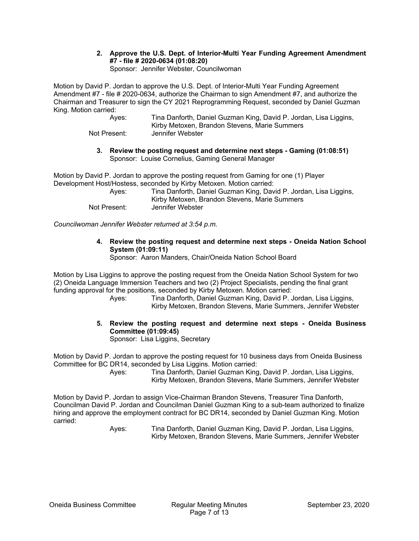**2. Approve the U.S. Dept. of Interior-Multi Year Funding Agreement Amendment #7 - file # 2020-0634 (01:08:20)**  Sponsor: Jennifer Webster, Councilwoman

Motion by David P. Jordan to approve the U.S. Dept. of Interior-Multi Year Funding Agreement Amendment #7 - file # 2020-0634, authorize the Chairman to sign Amendment #7, and authorize the Chairman and Treasurer to sign the CY 2021 Reprogramming Request, seconded by Daniel Guzman King. Motion carried:

| Ayes: | Tina Danforth, Daniel Guzman King, David P. Jordan, Lisa Liggins, |
|-------|-------------------------------------------------------------------|
|       | Kirby Metoxen, Brandon Stevens, Marie Summers                     |
|       |                                                                   |

- Not Present: Jennifer Webster
	- **3. Review the posting request and determine next steps Gaming (01:08:51)**  Sponsor: Louise Cornelius, Gaming General Manager

Motion by David P. Jordan to approve the posting request from Gaming for one (1) Player Development Host/Hostess, seconded by Kirby Metoxen. Motion carried:

| Aves:        | Tina Danforth, Daniel Guzman King, David P. Jordan, Lisa Liggins,<br>Kirby Metoxen, Brandon Stevens, Marie Summers |
|--------------|--------------------------------------------------------------------------------------------------------------------|
| Not Present: | Jennifer Webster                                                                                                   |

*Councilwoman Jennifer Webster returned at 3:54 p.m.* 

**4. Review the posting request and determine next steps - Oneida Nation School System (01:09:11)** 

Sponsor: Aaron Manders, Chair/Oneida Nation School Board

Motion by Lisa Liggins to approve the posting request from the Oneida Nation School System for two (2) Oneida Language Immersion Teachers and two (2) Project Specialists, pending the final grant funding approval for the positions, seconded by Kirby Metoxen. Motion carried:

 Ayes: Tina Danforth, Daniel Guzman King, David P. Jordan, Lisa Liggins, Kirby Metoxen, Brandon Stevens, Marie Summers, Jennifer Webster

# **5. Review the posting request and determine next steps - Oneida Business Committee (01:09:45)**

Sponsor: Lisa Liggins, Secretary

Motion by David P. Jordan to approve the posting request for 10 business days from Oneida Business Committee for BC DR14, seconded by Lisa Liggins. Motion carried:

 Ayes: Tina Danforth, Daniel Guzman King, David P. Jordan, Lisa Liggins, Kirby Metoxen, Brandon Stevens, Marie Summers, Jennifer Webster

Motion by David P. Jordan to assign Vice-Chairman Brandon Stevens, Treasurer Tina Danforth, Councilman David P. Jordan and Councilman Daniel Guzman King to a sub-team authorized to finalize hiring and approve the employment contract for BC DR14, seconded by Daniel Guzman King. Motion carried: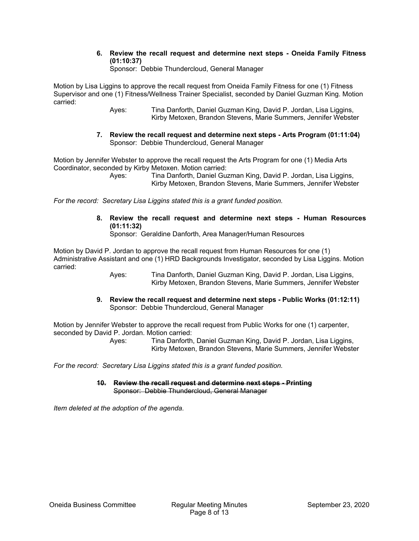**6. Review the recall request and determine next steps - Oneida Family Fitness (01:10:37)** 

Sponsor: Debbie Thundercloud, General Manager

Motion by Lisa Liggins to approve the recall request from Oneida Family Fitness for one (1) Fitness Supervisor and one (1) Fitness/Wellness Trainer Specialist, seconded by Daniel Guzman King. Motion carried:

> Ayes: Tina Danforth, Daniel Guzman King, David P. Jordan, Lisa Liggins, Kirby Metoxen, Brandon Stevens, Marie Summers, Jennifer Webster

**7. Review the recall request and determine next steps - Arts Program (01:11:04)**  Sponsor: Debbie Thundercloud, General Manager

Motion by Jennifer Webster to approve the recall request the Arts Program for one (1) Media Arts Coordinator, seconded by Kirby Metoxen. Motion carried:

 Ayes: Tina Danforth, Daniel Guzman King, David P. Jordan, Lisa Liggins, Kirby Metoxen, Brandon Stevens, Marie Summers, Jennifer Webster

*For the record: Secretary Lisa Liggins stated this is a grant funded position.* 

**8. Review the recall request and determine next steps - Human Resources (01:11:32)**  Sponsor: Geraldine Danforth, Area Manager/Human Resources

Motion by David P. Jordan to approve the recall request from Human Resources for one (1) Administrative Assistant and one (1) HRD Backgrounds Investigator, seconded by Lisa Liggins. Motion carried:

> Ayes: Tina Danforth, Daniel Guzman King, David P. Jordan, Lisa Liggins, Kirby Metoxen, Brandon Stevens, Marie Summers, Jennifer Webster

**9. Review the recall request and determine next steps - Public Works (01:12:11)**  Sponsor: Debbie Thundercloud, General Manager

Motion by Jennifer Webster to approve the recall request from Public Works for one (1) carpenter, seconded by David P. Jordan. Motion carried:

 Ayes: Tina Danforth, Daniel Guzman King, David P. Jordan, Lisa Liggins, Kirby Metoxen, Brandon Stevens, Marie Summers, Jennifer Webster

*For the record: Secretary Lisa Liggins stated this is a grant funded position.* 

**10. Review the recall request and determine next steps - Printing**  Sponsor: Debbie Thundercloud, General Manager

*Item deleted at the adoption of the agenda.*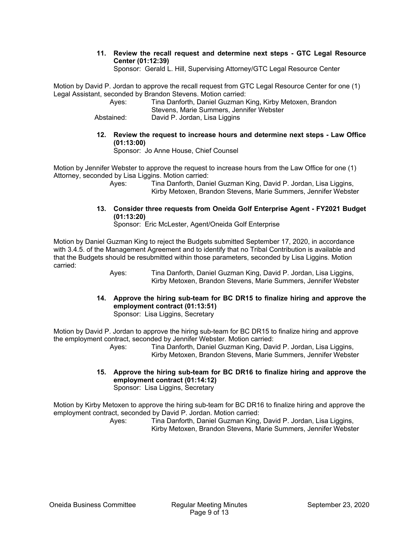**11. Review the recall request and determine next steps - GTC Legal Resource Center (01:12:39)** 

Sponsor: Gerald L. Hill, Supervising Attorney/GTC Legal Resource Center

Motion by David P. Jordan to approve the recall request from GTC Legal Resource Center for one (1) Legal Assistant, seconded by Brandon Stevens. Motion carried:

| Aves:      | Tina Danforth, Daniel Guzman King, Kirby Metoxen, Brandon |
|------------|-----------------------------------------------------------|
|            | Stevens, Marie Summers, Jennifer Webster                  |
| Abstained: | David P. Jordan, Lisa Liggins                             |

**12. Review the request to increase hours and determine next steps - Law Office (01:13:00)** 

Sponsor: Jo Anne House, Chief Counsel

Motion by Jennifer Webster to approve the request to increase hours from the Law Office for one (1) Attorney, seconded by Lisa Liggins. Motion carried:

> Ayes: Tina Danforth, Daniel Guzman King, David P. Jordan, Lisa Liggins, Kirby Metoxen, Brandon Stevens, Marie Summers, Jennifer Webster

**13. Consider three requests from Oneida Golf Enterprise Agent - FY2021 Budget (01:13:20)** 

Sponsor: Eric McLester, Agent/Oneida Golf Enterprise

Motion by Daniel Guzman King to reject the Budgets submitted September 17, 2020, in accordance with 3.4.5. of the Management Agreement and to identify that no Tribal Contribution is available and that the Budgets should be resubmitted within those parameters, seconded by Lisa Liggins. Motion carried:

> Ayes: Tina Danforth, Daniel Guzman King, David P. Jordan, Lisa Liggins, Kirby Metoxen, Brandon Stevens, Marie Summers, Jennifer Webster

**14. Approve the hiring sub-team for BC DR15 to finalize hiring and approve the employment contract (01:13:51)** 

Sponsor: Lisa Liggins, Secretary

Motion by David P. Jordan to approve the hiring sub-team for BC DR15 to finalize hiring and approve the employment contract, seconded by Jennifer Webster. Motion carried:

 Ayes: Tina Danforth, Daniel Guzman King, David P. Jordan, Lisa Liggins, Kirby Metoxen, Brandon Stevens, Marie Summers, Jennifer Webster

**15. Approve the hiring sub-team for BC DR16 to finalize hiring and approve the employment contract (01:14:12)**  Sponsor: Lisa Liggins, Secretary

Motion by Kirby Metoxen to approve the hiring sub-team for BC DR16 to finalize hiring and approve the employment contract, seconded by David P. Jordan. Motion carried: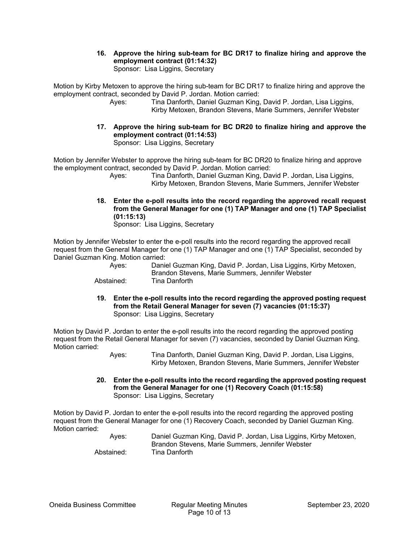#### **16. Approve the hiring sub-team for BC DR17 to finalize hiring and approve the employment contract (01:14:32)**  Sponsor: Lisa Liggins, Secretary

Motion by Kirby Metoxen to approve the hiring sub-team for BC DR17 to finalize hiring and approve the employment contract, seconded by David P. Jordan. Motion carried:

- Ayes: Tina Danforth, Daniel Guzman King, David P. Jordan, Lisa Liggins, Kirby Metoxen, Brandon Stevens, Marie Summers, Jennifer Webster
- **17. Approve the hiring sub-team for BC DR20 to finalize hiring and approve the employment contract (01:14:53)**  Sponsor: Lisa Liggins, Secretary

Motion by Jennifer Webster to approve the hiring sub-team for BC DR20 to finalize hiring and approve the employment contract, seconded by David P. Jordan. Motion carried:

 Ayes: Tina Danforth, Daniel Guzman King, David P. Jordan, Lisa Liggins, Kirby Metoxen, Brandon Stevens, Marie Summers, Jennifer Webster

**18. Enter the e-poll results into the record regarding the approved recall request from the General Manager for one (1) TAP Manager and one (1) TAP Specialist (01:15:13)**  Sponsor: Lisa Liggins, Secretary

Motion by Jennifer Webster to enter the e-poll results into the record regarding the approved recall request from the General Manager for one (1) TAP Manager and one (1) TAP Specialist, seconded by Daniel Guzman King. Motion carried:

 Ayes: Daniel Guzman King, David P. Jordan, Lisa Liggins, Kirby Metoxen, Brandon Stevens, Marie Summers, Jennifer Webster

- Abstained: Tina Danforth
- **19. Enter the e-poll results into the record regarding the approved posting request from the Retail General Manager for seven (7) vacancies (01:15:37)**  Sponsor: Lisa Liggins, Secretary

Motion by David P. Jordan to enter the e-poll results into the record regarding the approved posting request from the Retail General Manager for seven (7) vacancies, seconded by Daniel Guzman King. Motion carried:

 Ayes: Tina Danforth, Daniel Guzman King, David P. Jordan, Lisa Liggins, Kirby Metoxen, Brandon Stevens, Marie Summers, Jennifer Webster

**20. Enter the e-poll results into the record regarding the approved posting request from the General Manager for one (1) Recovery Coach (01:15:58)**  Sponsor: Lisa Liggins, Secretary

Motion by David P. Jordan to enter the e-poll results into the record regarding the approved posting request from the General Manager for one (1) Recovery Coach, seconded by Daniel Guzman King. Motion carried:

| Aves:      | Daniel Guzman King, David P. Jordan, Lisa Liggins, Kirby Metoxen, |
|------------|-------------------------------------------------------------------|
|            | Brandon Stevens, Marie Summers, Jennifer Webster                  |
| Abstained: | Tina Danforth                                                     |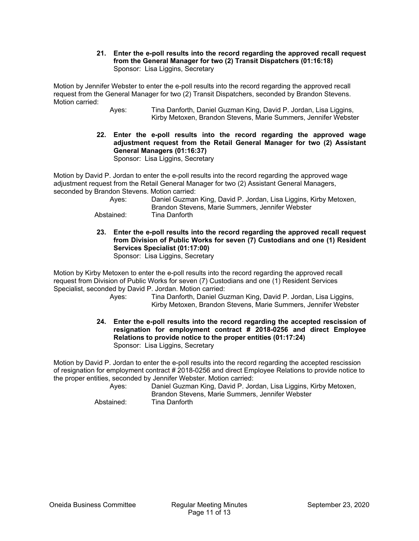**21. Enter the e-poll results into the record regarding the approved recall request from the General Manager for two (2) Transit Dispatchers (01:16:18)**  Sponsor: Lisa Liggins, Secretary

Motion by Jennifer Webster to enter the e-poll results into the record regarding the approved recall request from the General Manager for two (2) Transit Dispatchers, seconded by Brandon Stevens. Motion carried:

- Ayes: Tina Danforth, Daniel Guzman King, David P. Jordan, Lisa Liggins, Kirby Metoxen, Brandon Stevens, Marie Summers, Jennifer Webster
- **22. Enter the e-poll results into the record regarding the approved wage adjustment request from the Retail General Manager for two (2) Assistant General Managers (01:16:37)**  Sponsor: Lisa Liggins, Secretary

Motion by David P. Jordan to enter the e-poll results into the record regarding the approved wage adjustment request from the Retail General Manager for two (2) Assistant General Managers, seconded by Brandon Stevens. Motion carried:

| Aves:      | Daniel Guzman King, David P. Jordan, Lisa Liggins, Kirby Metoxen,<br>Brandon Stevens, Marie Summers, Jennifer Webster |
|------------|-----------------------------------------------------------------------------------------------------------------------|
| Abstained: | Tina Danforth                                                                                                         |

**23. Enter the e-poll results into the record regarding the approved recall request from Division of Public Works for seven (7) Custodians and one (1) Resident Services Specialist (01:17:00)** 

Sponsor: Lisa Liggins, Secretary

Motion by Kirby Metoxen to enter the e-poll results into the record regarding the approved recall request from Division of Public Works for seven (7) Custodians and one (1) Resident Services Specialist, seconded by David P. Jordan. Motion carried:

- Ayes: Tina Danforth, Daniel Guzman King, David P. Jordan, Lisa Liggins, Kirby Metoxen, Brandon Stevens, Marie Summers, Jennifer Webster
- **24. Enter the e-poll results into the record regarding the accepted rescission of resignation for employment contract # 2018-0256 and direct Employee Relations to provide notice to the proper entities (01:17:24)**  Sponsor: Lisa Liggins, Secretary

Motion by David P. Jordan to enter the e-poll results into the record regarding the accepted rescission of resignation for employment contract # 2018-0256 and direct Employee Relations to provide notice to the proper entities, seconded by Jennifer Webster. Motion carried:

 Ayes: Daniel Guzman King, David P. Jordan, Lisa Liggins, Kirby Metoxen, Brandon Stevens, Marie Summers, Jennifer Webster Abstained: Tina Danforth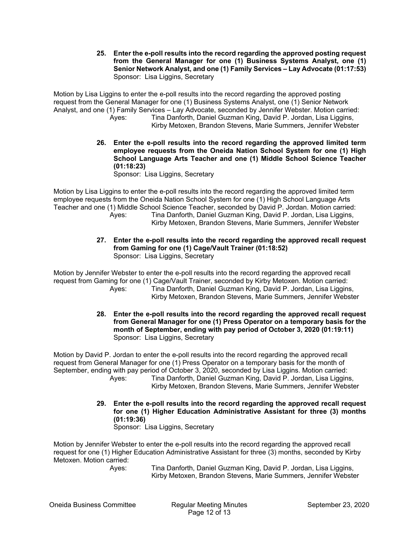**25. Enter the e-poll results into the record regarding the approved posting request from the General Manager for one (1) Business Systems Analyst, one (1) Senior Network Analyst, and one (1) Family Services – Lay Advocate (01:17:53)**  Sponsor: Lisa Liggins, Secretary

Motion by Lisa Liggins to enter the e-poll results into the record regarding the approved posting request from the General Manager for one (1) Business Systems Analyst, one (1) Senior Network Analyst, and one (1) Family Services – Lay Advocate, seconded by Jennifer Webster. Motion carried: Ayes: Tina Danforth, Daniel Guzman King, David P. Jordan, Lisa Liggins, Kirby Metoxen, Brandon Stevens, Marie Summers, Jennifer Webster

> **26. Enter the e-poll results into the record regarding the approved limited term employee requests from the Oneida Nation School System for one (1) High School Language Arts Teacher and one (1) Middle School Science Teacher (01:18:23)**

Sponsor: Lisa Liggins, Secretary

Motion by Lisa Liggins to enter the e-poll results into the record regarding the approved limited term employee requests from the Oneida Nation School System for one (1) High School Language Arts Teacher and one (1) Middle School Science Teacher, seconded by David P. Jordan. Motion carried: Ayes: Tina Danforth, Daniel Guzman King, David P. Jordan, Lisa Liggins, Kirby Metoxen, Brandon Stevens, Marie Summers, Jennifer Webster

- 
- **27. Enter the e-poll results into the record regarding the approved recall request from Gaming for one (1) Cage/Vault Trainer (01:18:52)**  Sponsor: Lisa Liggins, Secretary

Motion by Jennifer Webster to enter the e-poll results into the record regarding the approved recall request from Gaming for one (1) Cage/Vault Trainer, seconded by Kirby Metoxen. Motion carried: Ayes: Tina Danforth, Daniel Guzman King, David P. Jordan, Lisa Liggins, Kirby Metoxen, Brandon Stevens, Marie Summers, Jennifer Webster

> **28. Enter the e-poll results into the record regarding the approved recall request from General Manager for one (1) Press Operator on a temporary basis for the month of September, ending with pay period of October 3, 2020 (01:19:11)**  Sponsor: Lisa Liggins, Secretary

Motion by David P. Jordan to enter the e-poll results into the record regarding the approved recall request from General Manager for one (1) Press Operator on a temporary basis for the month of September, ending with pay period of October 3, 2020, seconded by Lisa Liggins. Motion carried: Ayes: Tina Danforth, Daniel Guzman King, David P. Jordan, Lisa Liggins, Kirby Metoxen, Brandon Stevens, Marie Summers, Jennifer Webster

> **29. Enter the e-poll results into the record regarding the approved recall request for one (1) Higher Education Administrative Assistant for three (3) months (01:19:36)**  Sponsor: Lisa Liggins, Secretary

Motion by Jennifer Webster to enter the e-poll results into the record regarding the approved recall request for one (1) Higher Education Administrative Assistant for three (3) months, seconded by Kirby Metoxen. Motion carried: